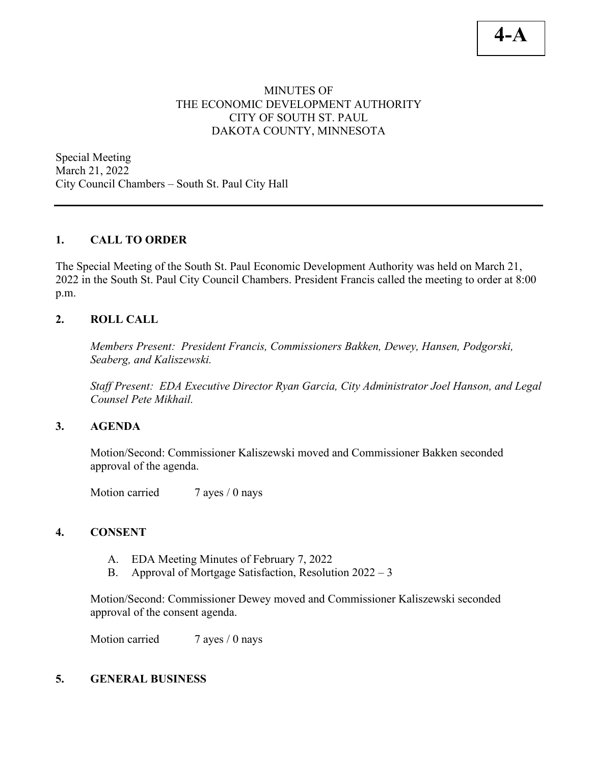# **4-A**

## MINUTES OF THE ECONOMIC DEVELOPMENT AUTHORITY CITY OF SOUTH ST. PAUL DAKOTA COUNTY, MINNESOTA

Special Meeting March 21, 2022 City Council Chambers – South St. Paul City Hall

### **1. CALL TO ORDER**

The Special Meeting of the South St. Paul Economic Development Authority was held on March 21, 2022 in the South St. Paul City Council Chambers. President Francis called the meeting to order at 8:00 p.m.

#### **2. ROLL CALL**

*Members Present: President Francis, Commissioners Bakken, Dewey, Hansen, Podgorski, Seaberg, and Kaliszewski.* 

*Staff Present: EDA Executive Director Ryan Garcia, City Administrator Joel Hanson, and Legal Counsel Pete Mikhail.*

#### **3. AGENDA**

Motion/Second: Commissioner Kaliszewski moved and Commissioner Bakken seconded approval of the agenda.

Motion carried 7 ayes / 0 nays

# **4. CONSENT**

- A. EDA Meeting Minutes of February 7, 2022
- B. Approval of Mortgage Satisfaction, Resolution 2022 3

Motion/Second: Commissioner Dewey moved and Commissioner Kaliszewski seconded approval of the consent agenda.

Motion carried 7 ayes / 0 nays

#### **5. GENERAL BUSINESS**